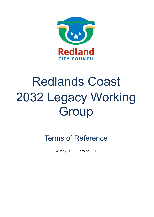

# Redlands Coast 2032 Legacy Working **Group**

Terms of Reference

4 May 2022, Version 1.0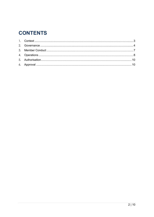# **CONTENTS**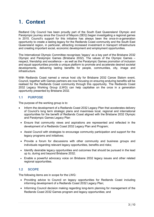# <span id="page-2-0"></span>**1. Context**

Redland City Council has been proudly part of the South East Queensland Olympic and Paralympic journey since the Council of Mayors (SEQ) began investigating a regional games in 2015. Council's support for this initiative has always been the once-in-a-generation opportunity to create a lasting legacy for the Redlands Coast community and the South East Queensland region, in particular, attracting increased investment in transport infrastructure and creating important social, economic development and employment opportunities.

The International Olympic Committee recognises 'legacy' as a key part of the Brisbane 2032 Olympic and Paralympic Games (Brisbane 2032). The values of the Olympic Games – respect, friendship and excellence – as well as the Paralympic Games promotion of inclusion and equal opportunities provide a unique platform to promote and accelerate desired societal developments, delivering lasting benefits for people, communities, city, image and infrastructure.

With Redlands Coast named a venue host city for Brisbane 2032 Canoe Slalom event, Council, together with Games partners are now focusing on ensuring enduring benefits will be realised for the Redlands Coast community through this opportunity. The Redlands Coast 2032 Legacy Working Group (LWG) can help capitalise on the once in a generation opportunity presented by Brisbane 2032.

# **1.1 PURPOSE**

The purpose of the working group is to:

- Inform the development of a Redlands Coast 2032 Legacy Plan that accelerates delivery of Council's long term strategic plans and maximises local, regional and international opportunities for the benefit of Redlands Coast aligned with the Brisbane 2032 Olympic and Paralympic Games Legacy Plan
- Ensure that community views and aspirations are represented and reflected in the development of a Redlands Coast 2032 Legacy Plan and Program;
- Assist Council with strategies to encourage community participation and support for the legacy programs and initiatives;
- Provide a forum for discussions with other community and business groups and individuals regarding relevant legacy opportunities, benefits and risks;
- Identify desirable legacy opportunities and outcomes that should be pursued in the lead up to, during and beyond Brisbane 2032;
- Enable a powerful advocacy voice on Brisbane 2032 legacy issues and other related regional opportunities.

# **1.2 SCOPE**

The following items are in scope for the LWG:

- Providing advice to Council on legacy opportunities for Redlands Coast including informing development of a Redlands Coast 2032 Legacy Plan;
- Informing Council decision making regarding long-term planning for management of the Redlands Coast 2032 Games program and legacy opportunities; and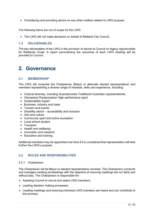• Considering and providing advice on any other matters related to LWG purpose.

The following items are out of scope for the LWG:

• The LWG will not make decisions on behalf of Redland City Council.

## **1.3 DELIVERABLES**

The key deliverables of the LWG is the provision of advice to Council on legacy opportunities for Redlands Coast. A report summarising the outcomes of each LWG meeting will be provided to Council.

# <span id="page-3-0"></span>**2. Governance**

## **2.1 MEMBERSHIP**

The LWG will comprise the Chairperson (Mayor or alternate elected representative) and members representing a diverse range of interests, skills and experience, including:

- Cultural diversity, including Quandamooka Traditional Custodian representatives
- Olympians/ Paralympians/ High performance sport
- Sustainability expert
- Business, industry and trade
- Tourism and events
- Disability sector accessibility and inclusion
- Arts and culture
- Community sport and active recreation
- Local school student
- Transport
- Health and wellbeing
- Innovation and research
- Education and training.

Additional members may be appointed over time if it is considered that representation will best further the LWG's purpose.

## **2.2 ROLES AND RESPONSIBILITIES**

#### 2.2.1 Chairperson

The Chairperson will be Mayor or elected representative nominee. The Chairperson conducts and manages meeting proceedings with the objective of ensuring meetings are run fairly and without bias. The Chairperson is responsible for:

- Assisting Council to recruit and select LWG members;
- Leading decision making processes:
- Leading meetings and ensuring individual LWG members are heard and can contribute to the process;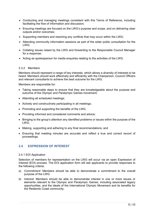- Conducting and managing meetings consistent with this Terms of Reference, including facilitating the flow of information and discussion;
- Ensuring meetings are focused on the LWG's purpose and scope, and on delivering clear outputs and/or outcomes;
- Supporting members and resolving any conflicts that may occur within the LWG;
- Attending community information sessions as part of the wider public consultation for the LWG;
- Collating issues raised by the LWG and forwarding to the Responsible Council Manager for a response;
- Acting as spokesperson for media enquiries relating to the activities of the LWG.

#### 2.3.2 Members

Members should represent a range of key interests, which allows a diversity of interests to be heard. Members should work effectively and efficiently with the Chairperson, Council Officers and relevant consultants to achieve the best outcome for the LWG.

Members are responsible for:

- Taking reasonable steps to ensure that they are knowledgeable about the purpose and outcome of the Olympic and Paralympic Games movement;
- Attending all scheduled meetings;
- Actively and constructively participating in all meetings;
- Promoting and supporting the benefits of the LWG.
- Providing informed and considered comments and advice;
- Bringing to the group's attention any identified problems or issues within the purpose of the LWG;
- Making, supporting and adhering to any final recommendations; and
- Ensuring that meeting minutes are accurate and reflect a true and correct record of proceedings.

# **2.4 EXPRESSION OF INTEREST**

#### 2.4.1 EOI Application

Selection of members for representation on the LWG will occur via an open Expression of Interest (EOI) process. The EOI application form will ask applicants to provide responses to the following criteria:

- a) *Commitment:* Members should be able to demonstrate a commitment to the overall purpose of the LWG.
- *b) Interest:* Members should be able to demonstrate interest in one or more issues or elements relevant to the Olympic and Paralympic Games, including associated legacy opportunities, and the ideals of the International Olympic Movement and its benefits for the Redlands Coast community.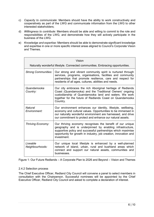- c) *Capacity to communicate*: Members should have the ability to work constructively and cooperatively as part of the LWG and communicate information from the LWG to other interested stakeholders;
- d) *Willingness to contribute*: Members should be able and willing to commit to the role and responsibilities of the LWG, and demonstrate how they will actively participate in the business of the LWG.
- e) *Knowledge and expertise:* Members should be able to demonstrate significant knowledge and expertise in one or more specific interest areas aligned to Council's Corporate Vision and Themes.

| Vision                                                                         |                                                                                                                                                                                                                                                                          |  |  |
|--------------------------------------------------------------------------------|--------------------------------------------------------------------------------------------------------------------------------------------------------------------------------------------------------------------------------------------------------------------------|--|--|
| Naturally wonderful lifestyle. Connected communities. Embracing opportunities. |                                                                                                                                                                                                                                                                          |  |  |
| <b>Strong Communities:</b>                                                     | Our strong and vibrant community spirit is nurtured through<br>services, programs, organisations, facilities and community<br>partnerships that promote resilience, care and respect for<br>residents of all ages, cultures, abilities and needs.                        |  |  |
| Quandamooka<br>Country:                                                        | Our city embraces the rich Aboriginal heritage of Redlands<br>Coast (Quandamooka) and the Traditional Owners' ongoing<br>custodianship of Quandamooka land and waters. We work<br>together for the future of Redlands Coast on Quandamooka<br>Country.                   |  |  |
| Natural<br>Environment:                                                        | Our environment enhances our identity, lifestyle, wellbeing,<br>economy and cultural values. Opportunities to be immersed in<br>our naturally wonderful environment are harnessed, and drive<br>our commitment to protect and enhance our natural assets.                |  |  |
| Thriving Economy:                                                              | Our thriving economy recognises the benefit of our unique<br>geography and is underpinned by enabling infrastructure,<br>supportive policy and successful partnerships which maximise<br>opportunity for growth in industry, job creation, innovation and<br>investment. |  |  |
| Liveable<br>Neighbourhoods:                                                    | Our unique local lifestyle is enhanced by a well-planned<br>network of island, urban, rural and bushland areas which<br>connect and support our natural assets, communities and<br>businesses.                                                                           |  |  |

Figure 1: Our Future Redlands – A Corporate Plan to 2026 and Beyond – Vision and Themes

#### 2.4.2 Selection process

The Chief Executive Officer, Redland City Council will convene a panel to select members in consultation with the Chairperson. Successful nominees will be appointed by the Chief Executive Officer, Redland City Council and asked to complete a declaration of interest.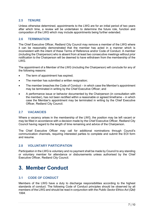# **2.5 TENURE**

Unless otherwise determined, appointments to the LWG are for an initial period of two years after which time, a review will be undertaken to determine the future role, function and composition of the LWG which may include appointments being further extended.

#### **2.6 TERMINATION**

The Chief Executive Officer, Redland City Council may remove a member of the LWG where it can be reasonably demonstrated that the member has acted in a manner which is inconsistent with the intent of these Terms of Reference and/or Code of Conduct. A member (including the Chairperson) who is absent from at least two consecutive meetings without prior notification to the Chairperson will be deemed to have withdrawn from the membership of the LWG.

The appointment of a Member of the LWG (including the Chairperson) will conclude for any of the following reasons:

- The term of appointment has expired:
- The member has submitted a written resignation;
- The member breaches the Code of Conduct in which case the Member's appointment may be terminated in writing by the Chief Executive Officer; and
- A performance issue or behavior documented by the Chairperson (in consultation with the member), has not been rectified within a reasonable or agreed timeframe – in which case the Member's appointment may be terminated in writing by the Chief Executive Officer, Redland City Council.

## **2.7 VACANCIES**

Where a vacancy arises in the membership of the LWG, the position may be left vacant or may be filled in accordance with a decision made by the Chief Executive Officer, Redland City Council having regard to the length of time remaining and advice of the Chairperson.

The Chief Executive Officer may call for additional nominations through Council's communication channels, requiring interested parties to complete and submit the EOI form and resume.

## **2.8 VOLUNTARY PARTICIPATION**

Participation in the LWG is voluntary and no payment shall be made by Council to any standing or voluntary member for attendance or disbursements unless authorised by the Chief Executive Officer, Redland City Council.

# <span id="page-6-0"></span>**3. Member Conduct**

# **3.1 CODE OF CONDUCT**

Members of the LWG have a duty to discharge responsibilities according to the highest standards of conduct. The following Code of Conduct principles should be observed by all members of the LWG and should be read in conjunction with the *Public Sector Ethics Act (Qld) 1994*.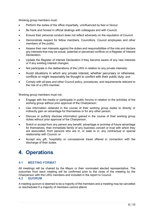Working group members must:

- Perform the duties of the office impartially, uninfluenced by fear or favour;
- Be frank and honest in official dealings with colleagues and with Council;
- Ensure their personal conduct does not reflect adversely on the reputation of Council;
- Demonstrate respect for fellow members, Councillors, Council employees and other members of the public;
- Assess their own interests against the duties and responsibilities of the role and declare any interests that may be actual, potential or perceived conflicts on a Register of Interest Declaration.
- Update the Register of Interest Declaration if they become aware of any new interests or if any existing interest changes;
- Not participate in the deliberations of the LWG in relation to any private interests;
- Avoid situations in which any private interest, whether pecuniary or otherwise, conflicts or might reasonably be thought to conflict with their public duty; and
- Comply with all laws and other Council policy, procedures, and requirements relevant to the role of a LWG member.

Working group members must not:

- Engage with the media or participate in public forums in relation to the activities of the working group without prior approval of the Chairperson;
- Use information obtained in the course of their working group duties to directly or indirectly gain an advantage for themselves or for any other person;
- Discuss or publicly disclose information gained in the course of their working group duties without prior approval of the Chairperson;
- Solicit or accept from any person any benefit, advantage or promise of future advantage for themselves, their immediate family of any business concert or trust with which they are associated, from persons who are in, or seek to in, any contractual or special relationship with Council; or
- Accept any gift, hospitality or concessional travel offered in connection with the discharge of their duties.

# <span id="page-7-0"></span>**4. Operations**

# **4.1 MEETING FORMAT**

All meetings will be chaired by the Mayor or their nominated elected representative. The outcomes from each meeting will be confirmed prior to the close of the meeting by the Chairperson with the LWG members and included in the report to Council.

#### **4.2 QUORUM**

A meeting quorum is deemed to be a majority of the members and a meeting may be cancelled or rescheduled if a majority of members cannot attend.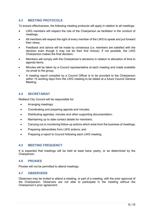# **4.3 MEETING PROTOCOLS**

To ensure effectiveness, the following meeting protocols will apply in relation to all meetings:

- LWG members will respect the role of the Chairperson as facilitator in the conduct of meetings;
- All members will respect the right of every member of the LWG to speak and put forward their views;
- Feedback and advice will be made by consensus (i.e. members are satisfied with the decision even though it may not be their first choice). If not possible, the LWG Chairperson makes the final decision;
- Members will comply with the Chairperson's decisions in relation to allocation of time to agenda items;
- Minutes will be taken by a Council representative at each meeting and made available via email to the group;
- A meeting report compiled by a Council Officer is to be provided to the Chairperson within 15 working days from the LWG meeting to be tabled at a future Council General Meeting.

# **4.4 SECRETARIAT**

Redland City Council will be responsible for:

- Arranging meetings:
- Coordinating and preparing agenda and minutes;
- Distributing agendas, minutes and other supporting documentation;
- Maintaining up to date contact details for members;
- Carrying out or monitoring follow-up actions which arise from the business of meetings;
- Preparing deliverables from LWG actions; and
- Preparing a report to Council following each LWG meeting.

## **4.5 MEETING FREQUENCY**

It is expected that meetings will be held at least twice yearly, or as determined by the Chairperson.

#### **4.6 PROXIES**

Proxies will not be permitted to attend meetings.

## **4.7 OBSERVERS**

Observers may be invited to attend a meeting, or part of a meeting, with the prior approval of the Chairperson. Observers are not able to participate in the meeting without the Chairperson's prior agreement.